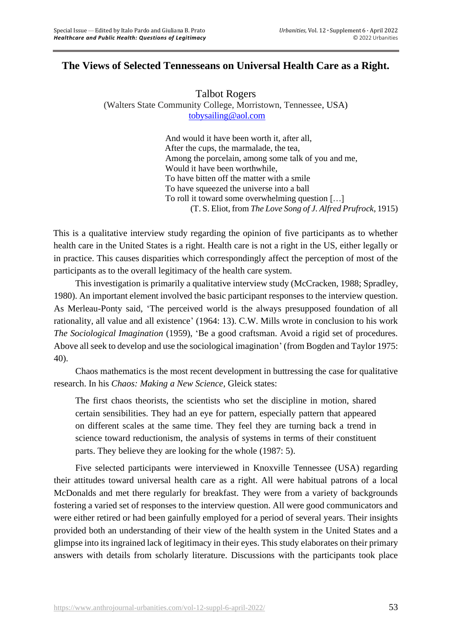# **The Views of Selected Tennesseans on Universal Health Care as a Right.**

Talbot Rogers (Walters State Community College, Morristown, Tennessee, USA) [tobysailing@aol.com](mailto:tobysailing@aol.com)

> And would it have been worth it, after all, After the cups, the marmalade, the tea, Among the porcelain, among some talk of you and me, Would it have been worthwhile, To have bitten off the matter with a smile To have squeezed the universe into a ball To roll it toward some overwhelming question […] (T. S. Eliot, from *The Love Song of J. Alfred Prufrock*, 1915)

This is a qualitative interview study regarding the opinion of five participants as to whether health care in the United States is a right. Health care is not a right in the US, either legally or in practice. This causes disparities which correspondingly affect the perception of most of the participants as to the overall legitimacy of the health care system.

This investigation is primarily a qualitative interview study (McCracken, 1988; Spradley, 1980). An important element involved the basic participant responses to the interview question. As Merleau-Ponty said, 'The perceived world is the always presupposed foundation of all rationality, all value and all existence' (1964: 13). C.W. Mills wrote in conclusion to his work *The Sociological Imagination* (1959), 'Be a good craftsman. Avoid a rigid set of procedures. Above all seek to develop and use the sociological imagination' (from Bogden and Taylor 1975: 40).

Chaos mathematics is the most recent development in buttressing the case for qualitative research. In his *Chaos: Making a New Science,* Gleick states:

The first chaos theorists, the scientists who set the discipline in motion, shared certain sensibilities. They had an eye for pattern, especially pattern that appeared on different scales at the same time. They feel they are turning back a trend in science toward reductionism, the analysis of systems in terms of their constituent parts. They believe they are looking for the whole (1987: 5).

Five selected participants were interviewed in Knoxville Tennessee (USA) regarding their attitudes toward universal health care as a right. All were habitual patrons of a local McDonalds and met there regularly for breakfast. They were from a variety of backgrounds fostering a varied set of responses to the interview question. All were good communicators and were either retired or had been gainfully employed for a period of several years. Their insights provided both an understanding of their view of the health system in the United States and a glimpse into its ingrained lack of legitimacy in their eyes. This study elaborates on their primary answers with details from scholarly literature. Discussions with the participants took place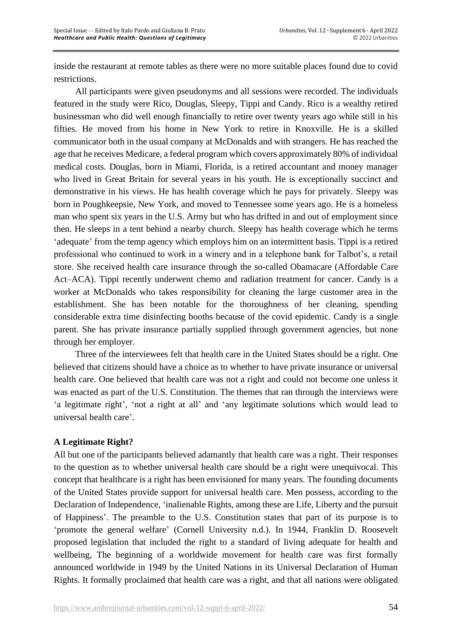inside the restaurant at remote tables as there were no more suitable places found due to covid restrictions.

All participants were given pseudonyms and all sessions were recorded. The individuals featured in the study were Rico, Douglas, Sleepy, Tippi and Candy. Rico is a wealthy retired businessman who did well enough financially to retire over twenty years ago while still in his fifties. He moved from his home in New York to retire in Knoxville. He is a skilled communicator both in the usual company at McDonalds and with strangers. He has reached the age that he receives Medicare, a federal program which covers approximately 80% of individual medical costs. Douglas, born in Miami, Florida, is a retired accountant and money manager who lived in Great Britain for several years in his youth. He is exceptionally succinct and demonstrative in his views. He has health coverage which he pays for privately. Sleepy was born in Poughkeepsie, New York, and moved to Tennessee some years ago. He is a homeless man who spent six years in the U.S. Army but who has drifted in and out of employment since then. He sleeps in a tent behind a nearby church. Sleepy has health coverage which he terms 'adequate' from the temp agency which employs him on an intermittent basis. Tippi is a retired professional who continued to work in a winery and in a telephone bank for Talbot's, a retail store. She received health care insurance through the so-called Obamacare (Affordable Care Act–ACA). Tippi recently underwent chemo and radiation treatment for cancer. Candy is a worker at McDonalds who takes responsibility for cleaning the large customer area in the establishment. She has been notable for the thoroughness of her cleaning, spending considerable extra time disinfecting booths because of the covid epidemic. Candy is a single parent. She has private insurance partially supplied through government agencies, but none through her employer.

Three of the interviewees felt that health care in the United States should be a right. One believed that citizens should have a choice as to whether to have private insurance or universal health care. One believed that health care was not a right and could not become one unless it was enacted as part of the U.S. Constitution. The themes that ran through the interviews were 'a legitimate right', 'not a right at all' and 'any legitimate solutions which would lead to universal health care'.

## **A Legitimate Right?**

All but one of the participants believed adamantly that health care was a right. Their responses to the question as to whether universal health care should be a right were unequivocal. This concept that healthcare is a right has been envisioned for many years. The founding documents of the United States provide support for universal health care. Men possess, according to the Declaration of Independence, 'inalienable Rights, among these are Life, Liberty and the pursuit of Happiness'. The preamble to the U.S. Constitution states that part of its purpose is to 'promote the general welfare' (Cornell University n.d.). In 1944, Franklin D. Roosevelt proposed legislation that included the right to a standard of living adequate for health and wellbeing, The beginning of a worldwide movement for health care was first formally announced worldwide in 1949 by the United Nations in its Universal Declaration of Human Rights. It formally proclaimed that health care was a right, and that all nations were obligated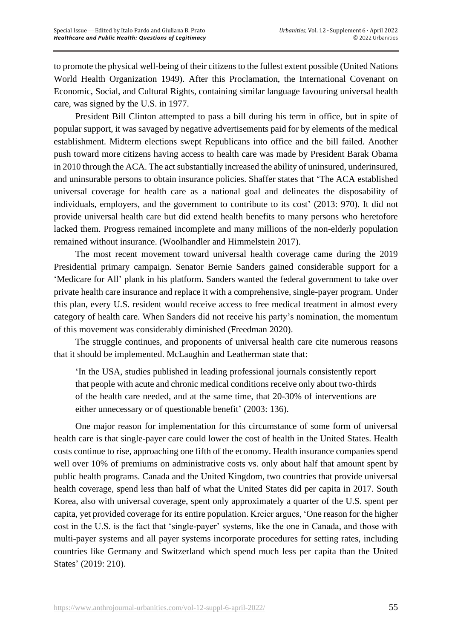to promote the physical well-being of their citizens to the fullest extent possible (United Nations World Health Organization 1949). After this Proclamation, the International Covenant on Economic, Social, and Cultural Rights, containing similar language favouring universal health care, was signed by the U.S. in 1977.

President Bill Clinton attempted to pass a bill during his term in office, but in spite of popular support, it was savaged by negative advertisements paid for by elements of the medical establishment. Midterm elections swept Republicans into office and the bill failed. Another push toward more citizens having access to health care was made by President Barak Obama in 2010 through the ACA. The act substantially increased the ability of uninsured, underinsured, and uninsurable persons to obtain insurance policies. Shaffer states that 'The ACA established universal coverage for health care as a national goal and delineates the disposability of individuals, employers, and the government to contribute to its cost' (2013: 970). It did not provide universal health care but did extend health benefits to many persons who heretofore lacked them. Progress remained incomplete and many millions of the non-elderly population remained without insurance. (Woolhandler and Himmelstein 2017).

The most recent movement toward universal health coverage came during the 2019 Presidential primary campaign. Senator Bernie Sanders gained considerable support for a 'Medicare for All' plank in his platform. Sanders wanted the federal government to take over private health care insurance and replace it with a comprehensive, single-payer program. Under this plan, every U.S. resident would receive access to free medical treatment in almost every category of health care. When Sanders did not receive his party's nomination, the momentum of this movement was considerably diminished (Freedman 2020).

The struggle continues, and proponents of universal health care cite numerous reasons that it should be implemented. McLaughin and Leatherman state that:

'In the USA, studies published in leading professional journals consistently report that people with acute and chronic medical conditions receive only about two-thirds of the health care needed, and at the same time, that 20-30% of interventions are either unnecessary or of questionable benefit' (2003: 136).

One major reason for implementation for this circumstance of some form of universal health care is that single-payer care could lower the cost of health in the United States. Health costs continue to rise, approaching one fifth of the economy. Health insurance companies spend well over 10% of premiums on administrative costs vs. only about half that amount spent by public health programs. Canada and the United Kingdom, two countries that provide universal health coverage, spend less than half of what the United States did per capita in 2017. South Korea, also with universal coverage, spent only approximately a quarter of the U.S. spent per capita, yet provided coverage for its entire population. Kreier argues, 'One reason for the higher cost in the U.S. is the fact that 'single-payer' systems, like the one in Canada, and those with multi-payer systems and all payer systems incorporate procedures for setting rates, including countries like Germany and Switzerland which spend much less per capita than the United States' (2019: 210).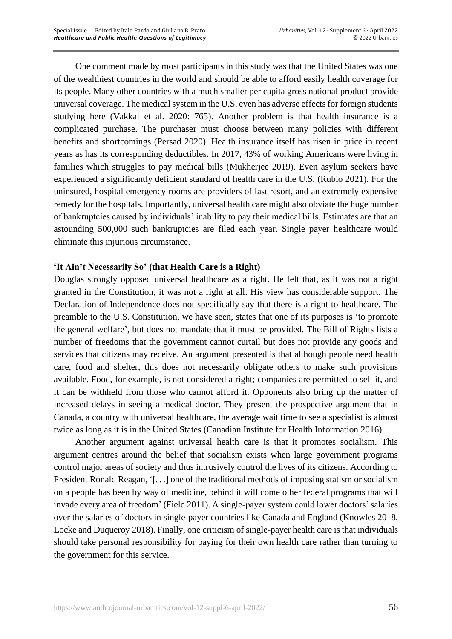One comment made by most participants in this study was that the United States was one of the wealthiest countries in the world and should be able to afford easily health coverage for its people. Many other countries with a much smaller per capita gross national product provide universal coverage. The medical system in the U.S. even has adverse effects for foreign students studying here (Vakkai et al. 2020: 765). Another problem is that health insurance is a complicated purchase. The purchaser must choose between many policies with different benefits and shortcomings (Persad 2020). Health insurance itself has risen in price in recent years as has its corresponding deductibles. In 2017, 43% of working Americans were living in families which struggles to pay medical bills (Mukherjee 2019). Even asylum seekers have experienced a significantly deficient standard of health care in the U.S. (Rubio 2021). For the uninsured, hospital emergency rooms are providers of last resort, and an extremely expensive remedy for the hospitals. Importantly, universal health care might also obviate the huge number of bankruptcies caused by individuals' inability to pay their medical bills. Estimates are that an astounding 500,000 such bankruptcies are filed each year. Single payer healthcare would eliminate this injurious circumstance.

## **'It Ain't Necessarily So' (that Health Care is a Right)**

Douglas strongly opposed universal healthcare as a right. He felt that, as it was not a right granted in the Constitution, it was not a right at all. His view has considerable support. The Declaration of Independence does not specifically say that there is a right to healthcare. The preamble to the U.S. Constitution, we have seen, states that one of its purposes is 'to promote the general welfare', but does not mandate that it must be provided. The Bill of Rights lists a number of freedoms that the government cannot curtail but does not provide any goods and services that citizens may receive. An argument presented is that although people need health care, food and shelter, this does not necessarily obligate others to make such provisions available. Food, for example, is not considered a right; companies are permitted to sell it, and it can be withheld from those who cannot afford it. Opponents also bring up the matter of increased delays in seeing a medical doctor. They present the prospective argument that in Canada, a country with universal healthcare, the average wait time to see a specialist is almost twice as long as it is in the United States (Canadian Institute for Health Information 2016).

Another argument against universal health care is that it promotes socialism. This argument centres around the belief that socialism exists when large government programs control major areas of society and thus intrusively control the lives of its citizens. According to President Ronald Reagan, '[. . .] one of the traditional methods of imposing statism or socialism on a people has been by way of medicine, behind it will come other federal programs that will invade every area of freedom' (Field 2011). A single-payer system could lower doctors' salaries over the salaries of doctors in single-payer countries like Canada and England (Knowles 2018, Locke and Duqueroy 2018). Finally, one criticism of single-payer health care is that individuals should take personal responsibility for paying for their own health care rather than turning to the government for this service.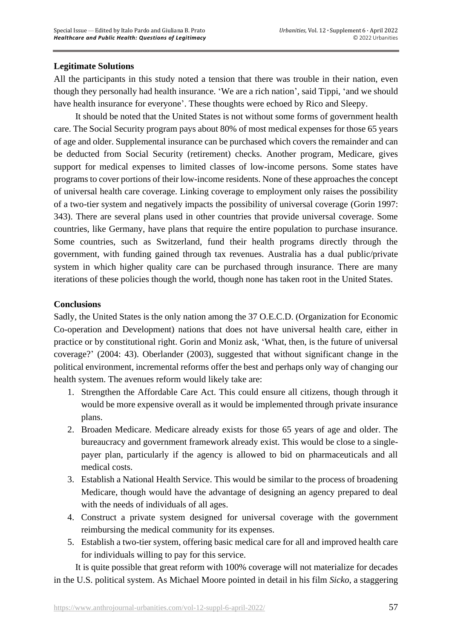## **Legitimate Solutions**

All the participants in this study noted a tension that there was trouble in their nation, even though they personally had health insurance. 'We are a rich nation', said Tippi, 'and we should have health insurance for everyone'. These thoughts were echoed by Rico and Sleepy.

It should be noted that the United States is not without some forms of government health care. The Social Security program pays about 80% of most medical expenses for those 65 years of age and older. Supplemental insurance can be purchased which covers the remainder and can be deducted from Social Security (retirement) checks. Another program, Medicare, gives support for medical expenses to limited classes of low-income persons. Some states have programs to cover portions of their low-income residents. None of these approaches the concept of universal health care coverage. Linking coverage to employment only raises the possibility of a two-tier system and negatively impacts the possibility of universal coverage (Gorin 1997: 343). There are several plans used in other countries that provide universal coverage. Some countries, like Germany, have plans that require the entire population to purchase insurance. Some countries, such as Switzerland, fund their health programs directly through the government, with funding gained through tax revenues. Australia has a dual public/private system in which higher quality care can be purchased through insurance. There are many iterations of these policies though the world, though none has taken root in the United States.

## **Conclusions**

Sadly, the United States is the only nation among the 37 O.E.C.D. (Organization for Economic Co-operation and Development) nations that does not have universal health care, either in practice or by constitutional right. Gorin and Moniz ask, 'What, then, is the future of universal coverage?' (2004: 43). Oberlander (2003), suggested that without significant change in the political environment, incremental reforms offer the best and perhaps only way of changing our health system. The avenues reform would likely take are:

- 1. Strengthen the Affordable Care Act. This could ensure all citizens, though through it would be more expensive overall as it would be implemented through private insurance plans.
- 2. Broaden Medicare. Medicare already exists for those 65 years of age and older. The bureaucracy and government framework already exist. This would be close to a singlepayer plan, particularly if the agency is allowed to bid on pharmaceuticals and all medical costs.
- 3. Establish a National Health Service. This would be similar to the process of broadening Medicare, though would have the advantage of designing an agency prepared to deal with the needs of individuals of all ages.
- 4. Construct a private system designed for universal coverage with the government reimbursing the medical community for its expenses.
- 5. Establish a two-tier system, offering basic medical care for all and improved health care for individuals willing to pay for this service.

It is quite possible that great reform with 100% coverage will not materialize for decades in the U.S. political system. As Michael Moore pointed in detail in his film *Sicko,* a staggering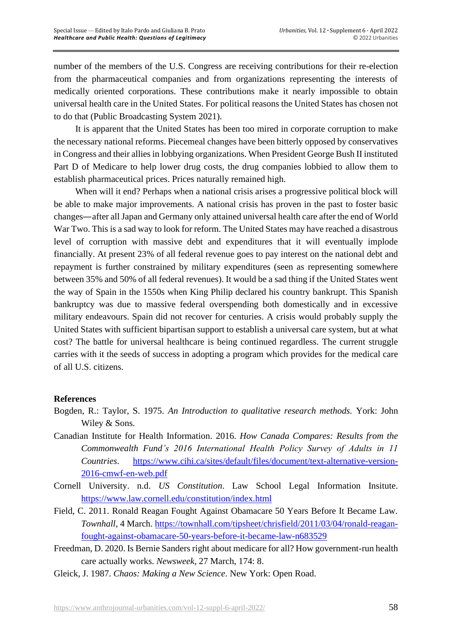number of the members of the U.S. Congress are receiving contributions for their re-election from the pharmaceutical companies and from organizations representing the interests of medically oriented corporations. These contributions make it nearly impossible to obtain universal health care in the United States. For political reasons the United States has chosen not to do that (Public Broadcasting System 2021).

It is apparent that the United States has been too mired in corporate corruption to make the necessary national reforms. Piecemeal changes have been bitterly opposed by conservatives in Congress and their allies in lobbying organizations. When President George Bush II instituted Part D of Medicare to help lower drug costs, the drug companies lobbied to allow them to establish pharmaceutical prices. Prices naturally remained high.

When will it end? Perhaps when a national crisis arises a progressive political block will be able to make major improvements. A national crisis has proven in the past to foster basic changes—after all Japan and Germany only attained universal health care after the end of World War Two. This is a sad way to look for reform. The United States may have reached a disastrous level of corruption with massive debt and expenditures that it will eventually implode financially. At present 23% of all federal revenue goes to pay interest on the national debt and repayment is further constrained by military expenditures (seen as representing somewhere between 35% and 50% of all federal revenues). It would be a sad thing if the United States went the way of Spain in the 1550s when King Philip declared his country bankrupt. This Spanish bankruptcy was due to massive federal overspending both domestically and in excessive military endeavours. Spain did not recover for centuries. A crisis would probably supply the United States with sufficient bipartisan support to establish a universal care system, but at what cost? The battle for universal healthcare is being continued regardless. The current struggle carries with it the seeds of success in adopting a program which provides for the medical care of all U.S. citizens.

## **References**

- Bogden, R.: Taylor, S. 1975. *An Introduction to qualitative research methods.* York: John Wiley & Sons.
- Canadian Institute for Health Information. 2016. *How Canada Compares: Results from the Commonwealth Fund's 2016 International Health Policy Survey of Adults in 11 Countries*. [https://www.cihi.ca/sites/default/files/document/text-alternative-version-](https://www.cihi.ca/sites/default/files/document/text-alternative-version-2016-cmwf-en-web.pdf)[2016-cmwf-en-web.pdf](https://www.cihi.ca/sites/default/files/document/text-alternative-version-2016-cmwf-en-web.pdf)
- Cornell University. n.d. *US Constitution*. Law School Legal Information Insitute. <https://www.law.cornell.edu/constitution/index.html>
- Field, C. 2011. Ronald Reagan Fought Against Obamacare 50 Years Before It Became Law. *Townhall*, 4 March. [https://townhall.com/tipsheet/chrisfield/2011/03/04/ronald-reagan](https://townhall.com/tipsheet/chrisfield/2011/03/04/ronald-reagan-fought-against-obamacare-50-years-before-it-became-law-n683529)[fought-against-obamacare-50-years-before-it-became-law-n683529](https://townhall.com/tipsheet/chrisfield/2011/03/04/ronald-reagan-fought-against-obamacare-50-years-before-it-became-law-n683529)
- Freedman, D. 2020. Is Bernie Sanders right about medicare for all? How government-run health care actually works. *Newsweek*, 27 March, 174: 8.
- Gleick, J. 1987. *Chaos: Making a New Science*. New York: Open Road.